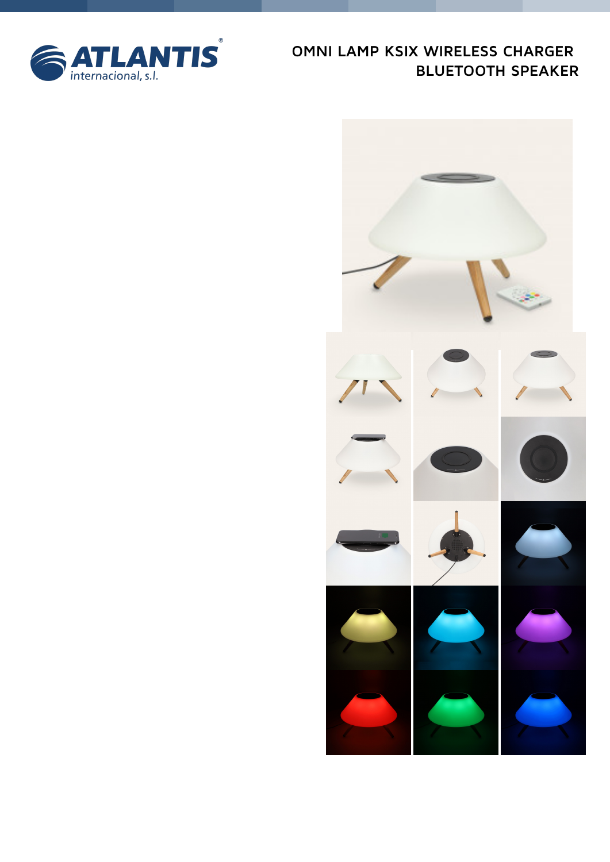

# OMNI LAMP KSIX WIRELESS CHARGER **BLUETOOTH SPEAKER**

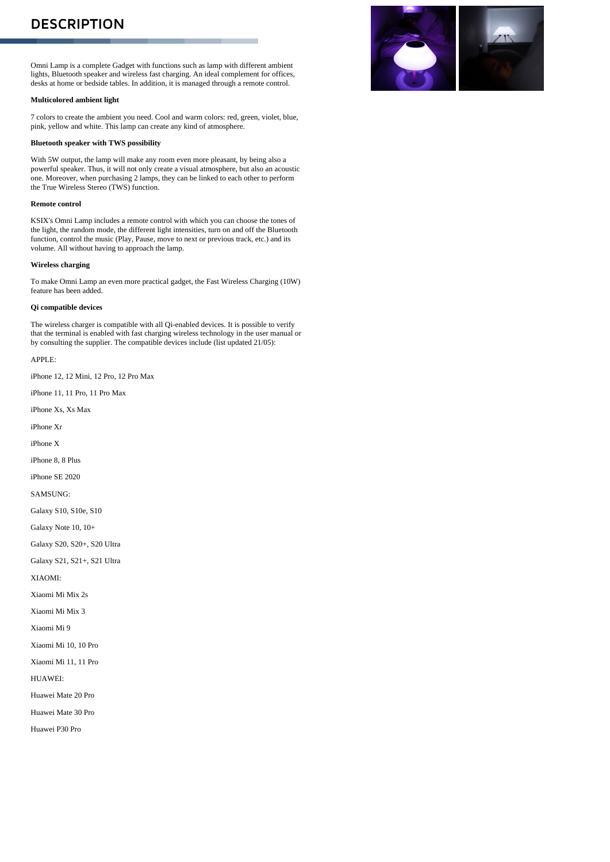## **DESCRIPTION**

Omni Lamp is a complete Gadget with functions such as lamp with different ambient lights, Bluetooth speaker and wireless fast charging. An ideal complement for offices, desks at home or bedside tables. In addition, it is managed through a remote control.

#### **Multicolored ambient light**

7 colors to create the ambient you need. Cool and warm colors: red, green, violet, blue, pink, yellow and white. This lamp can create any kind of atmosphere.

#### **Bluetooth speaker with TWS possibility**

. . . . . . .

With 5W output, the lamp will make any room even more pleasant, by being also a powerful speaker. Thus, it will not only create a visual atmosphere, but also an acoustic one. Moreover, when purchasing 2 lamps, they can be linked to each other to perform the True Wireless Stereo (TWS) function.

#### **Remote control**

KSIX's Omni Lamp includes a remote control with which you can choose the tones of the light, the random mode, the different light intensities, turn on and off the Bluetooth function, control the music (Play, Pause, move to next or previous track, etc.) and its volume. All without having to approach the lamp.

#### **Wireless charging**

To make Omni Lamp an even more practical gadget, the Fast Wireless Charging (10W) feature has been added.

### **Qi compatible devices**

The wireless charger is compatible with all Qi-enabled devices. It is possible to verify that the terminal is enabled with fast charging wireless technology in the user manual or by consulting the supplier. The compatible devices include (list updated 21/05):

APPLE:

iPhone 12, 12 Mini, 12 Pro, 12 Pro Max

iPhone 11, 11 Pro, 11 Pro Max

iPhone Xs, Xs Max

iPhone Xr

iPhone X

iPhone 8, 8 Plus

iPhone SE 2020

SAMSUNG:

Galaxy S10, S10e, S10

Galaxy Note 10, 10+

Galaxy S20, S20+, S20 Ultra

Galaxy S21, S21+, S21 Ultra

XIAOMI:

Xiaomi Mi Mix 2s

Xiaomi Mi Mix 3

Xiaomi Mi 9

Xiaomi Mi 10, 10 Pro

Xiaomi Mi 11, 11 Pro

HUAWEI:

Huawei Mate 20 Pro

Huawei Mate 30 Pro

Huawei P30 Pro